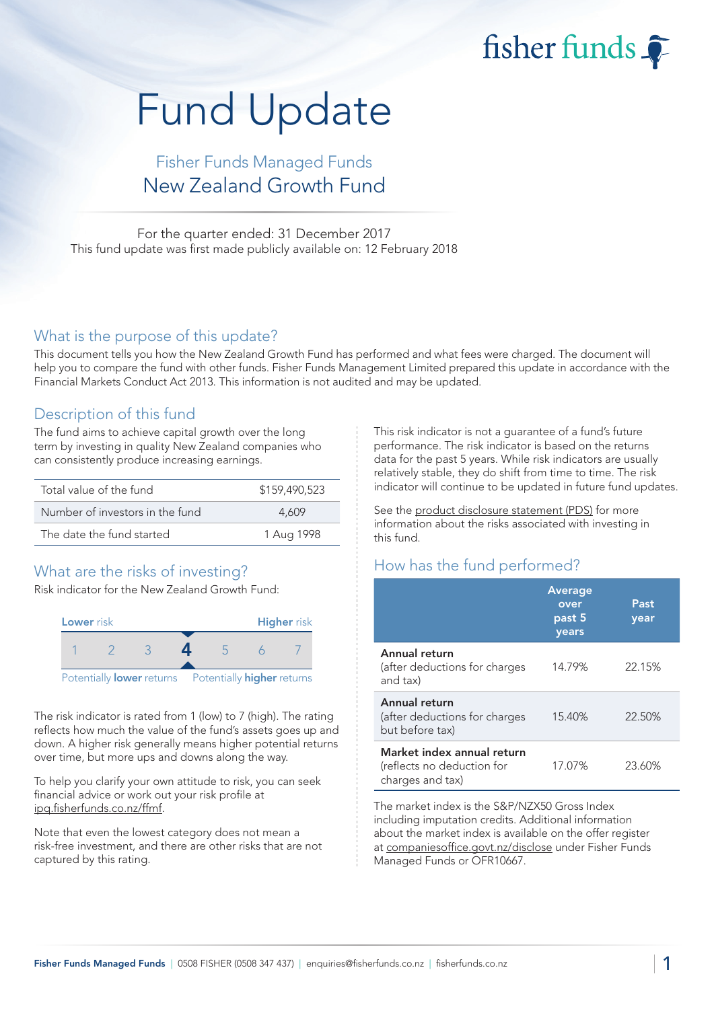fisher funds  $\widehat{\bullet}$ 

# Fund Update

## Fisher Funds Managed Funds New Zealand Growth Fund

For the quarter ended: 31 December 2017 This fund update was first made publicly available on: 12 February 2018

#### What is the purpose of this update?

This document tells you how the New Zealand Growth Fund has performed and what fees were charged. The document will help you to compare the fund with other funds. Fisher Funds Management Limited prepared this update in accordance with the Financial Markets Conduct Act 2013. This information is not audited and may be updated.

#### Description of this fund

The fund aims to achieve capital growth over the long term by investing in quality New Zealand companies who can consistently produce increasing earnings.

| Total value of the fund         | \$159,490,523 |
|---------------------------------|---------------|
| Number of investors in the fund | 4.609         |
| The date the fund started       | 1 Aug 1998    |

## What are the risks of investing?

Risk indicator for the New Zealand Growth Fund:



The risk indicator is rated from 1 (low) to 7 (high). The rating reflects how much the value of the fund's assets goes up and down. A higher risk generally means higher potential returns over time, but more ups and downs along the way.

To help you clarify your own attitude to risk, you can seek financial advice or work out your risk profile at ipq.fisherfunds.co.nz/ffmf.

Note that even the lowest category does not mean a risk-free investment, and there are other risks that are not captured by this rating.

This risk indicator is not a guarantee of a fund's future performance. The risk indicator is based on the returns data for the past 5 years. While risk indicators are usually relatively stable, they do shift from time to time. The risk indicator will continue to be updated in future fund updates.

See the product disclosure statement (PDS) for more information about the risks associated with investing in this fund.

## How has the fund performed?

|                                                                              | <b>Average</b><br>over<br>past 5<br>years | Past<br>year |
|------------------------------------------------------------------------------|-------------------------------------------|--------------|
| Annual return<br>(after deductions for charges<br>and tax)                   | 14.79%                                    | 22.15%       |
| Annual return<br>(after deductions for charges<br>but before tax)            | 15.40%                                    | 22.50%       |
| Market index annual return<br>(reflects no deduction for<br>charges and tax) | 17.07%                                    | 23.60%       |

The market index is the S&P/NZX50 Gross Index including imputation credits. Additional information about the market index is available on the offer register at companiesoffice.govt.nz/disclose under Fisher Funds Managed Funds or OFR10667.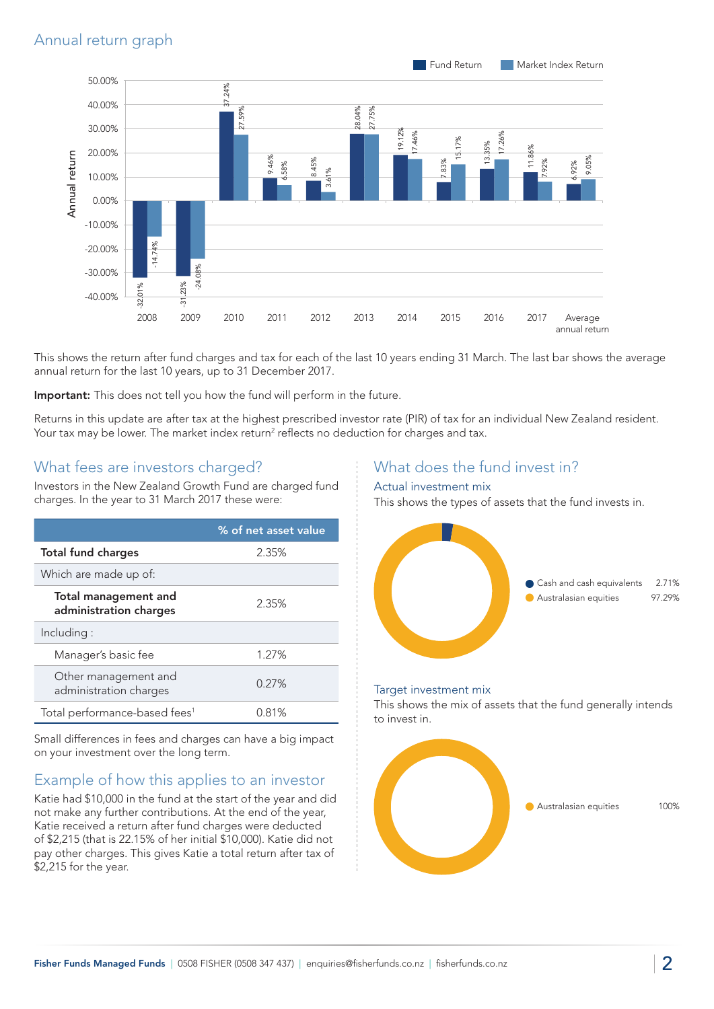## Annual return graph



This shows the return after fund charges and tax for each of the last 10 years ending 31 March. The last bar shows the average annual return for the last 10 years, up to 31 December 2017.

Important: This does not tell you how the fund will perform in the future.

Returns in this update are after tax at the highest prescribed investor rate (PIR) of tax for an individual New Zealand resident. Your tax may be lower. The market index return<sup>2</sup> reflects no deduction for charges and tax.

#### What fees are investors charged?

Investors in the New Zealand Growth Fund are charged fund charges. In the year to 31 March 2017 these were:

|                                                       | % of net asset value |
|-------------------------------------------------------|----------------------|
| <b>Total fund charges</b>                             | 2.35%                |
| Which are made up of:                                 |                      |
| <b>Total management and</b><br>administration charges | 2.35%                |
| Including:                                            |                      |
| Manager's basic fee                                   | 1.27%                |
| Other management and<br>administration charges        | 0.27%                |
| Total performance-based fees <sup>1</sup>             | 0.81%                |

Small differences in fees and charges can have a big impact on your investment over the long term.

## Example of how this applies to an investor

Katie had \$10,000 in the fund at the start of the year and did not make any further contributions. At the end of the year, Katie received a return after fund charges were deducted of \$2,215 (that is 22.15% of her initial \$10,000). Katie did not pay other charges. This gives Katie a total return after tax of \$2,215 for the year.

#### What does the fund invest in?

#### Actual investment mix

This shows the types of assets that the fund invests in.



#### Target investment mix

This shows the mix of assets that the fund generally intends to invest in.